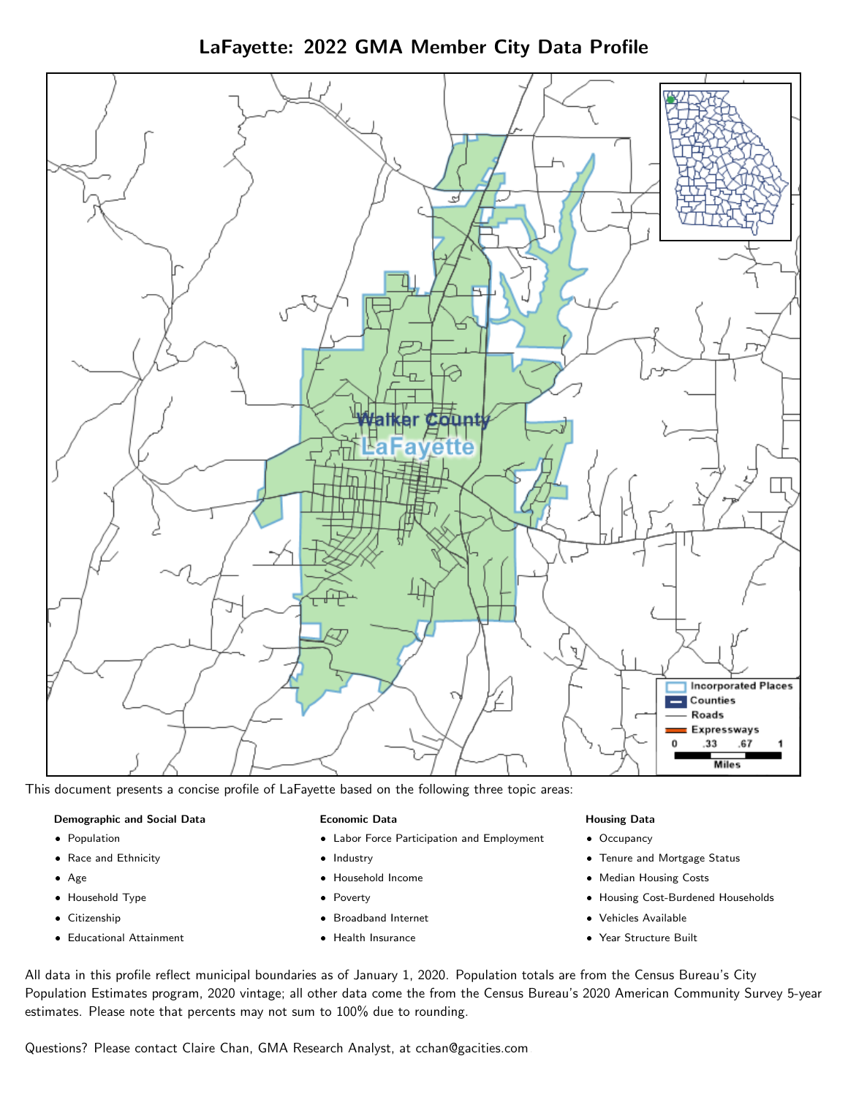LaFayette: 2022 GMA Member City Data Profile



This document presents a concise profile of LaFayette based on the following three topic areas:

#### Demographic and Social Data

- **•** Population
- Race and Ethnicity
- Age
- Household Type
- **Citizenship**
- Educational Attainment

#### Economic Data

- Labor Force Participation and Employment
- Industry
- Household Income
- Poverty
- Broadband Internet
- Health Insurance

### Housing Data

- Occupancy
- Tenure and Mortgage Status
- Median Housing Costs
- Housing Cost-Burdened Households
- Vehicles Available
- Year Structure Built

All data in this profile reflect municipal boundaries as of January 1, 2020. Population totals are from the Census Bureau's City Population Estimates program, 2020 vintage; all other data come the from the Census Bureau's 2020 American Community Survey 5-year estimates. Please note that percents may not sum to 100% due to rounding.

Questions? Please contact Claire Chan, GMA Research Analyst, at [cchan@gacities.com.](mailto:cchan@gacities.com)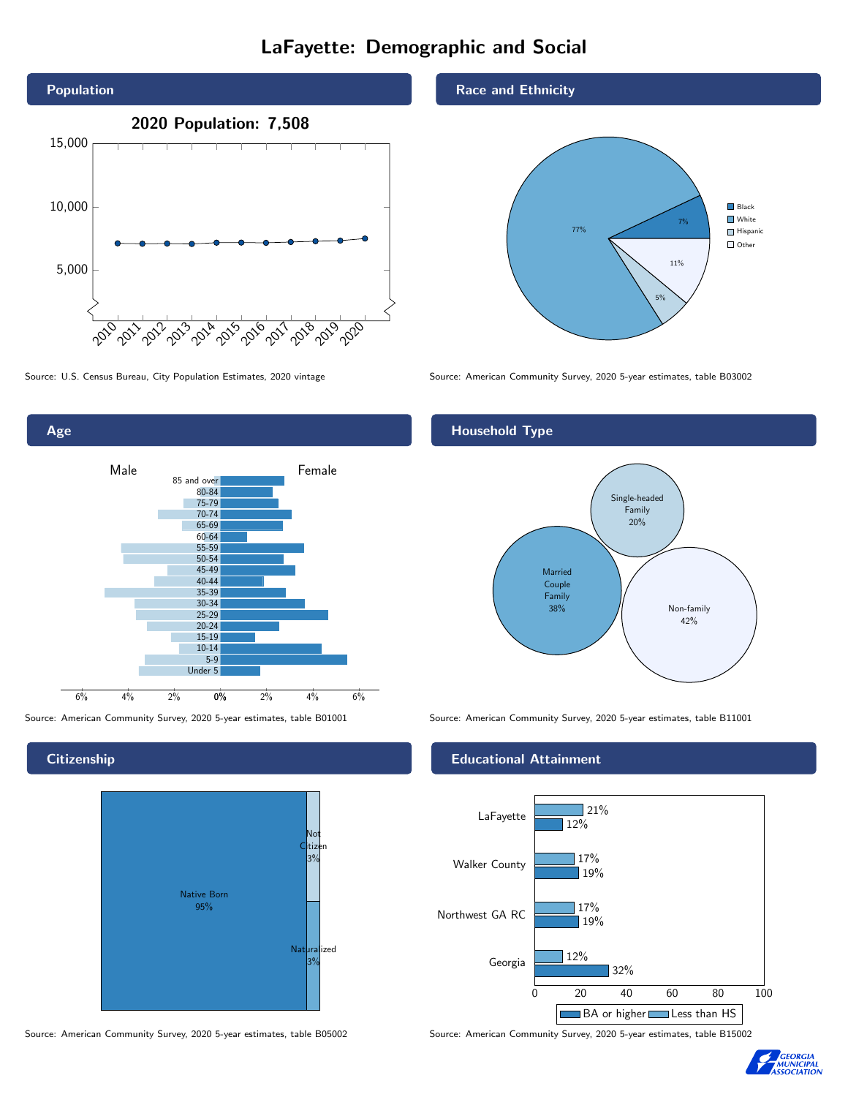# LaFayette: Demographic and Social



0% 2% 4% 6% Male **Female** 6% 4% 2% 85 and over 80-84 75-79 70-74 65-69 60-64 55-59 50-54 45-49 40-44 35-39 30-34 25-29 20-24 15-19  $10-14$ 5-9 Under 5

Source: American Community Survey, 2020 5-year estimates, table B01001 Source: American Community Survey, 2020 5-year estimates, table B11001

**Citizenship** 

Age



Source: American Community Survey, 2020 5-year estimates, table B05002 Source: American Community Survey, 2020 5-year estimates, table B15002

Race and Ethnicity



Source: U.S. Census Bureau, City Population Estimates, 2020 vintage Source: American Community Survey, 2020 5-year estimates, table B03002

# Household Type



### Educational Attainment



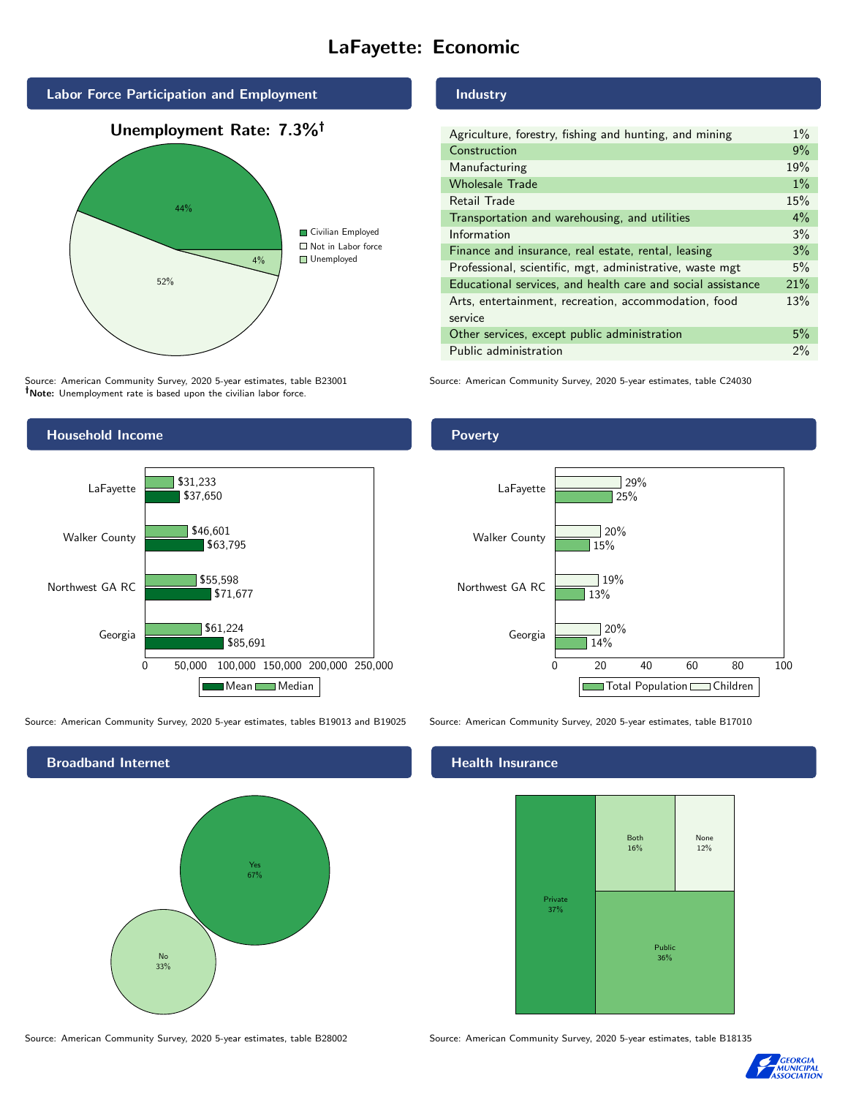# LaFayette: Economic



Source: American Community Survey, 2020 5-year estimates, table B23001 Note: Unemployment rate is based upon the civilian labor force.

#### Industry

| Agriculture, forestry, fishing and hunting, and mining      | $1\%$ |
|-------------------------------------------------------------|-------|
| Construction                                                | 9%    |
| Manufacturing                                               | 19%   |
| <b>Wholesale Trade</b>                                      | $1\%$ |
| Retail Trade                                                | 15%   |
| Transportation and warehousing, and utilities               | $4\%$ |
| Information                                                 | 3%    |
| Finance and insurance, real estate, rental, leasing         | 3%    |
| Professional, scientific, mgt, administrative, waste mgt    | 5%    |
| Educational services, and health care and social assistance | 21%   |
| Arts, entertainment, recreation, accommodation, food        | 13%   |
| service                                                     |       |
| Other services, except public administration                | 5%    |
| Public administration                                       | 2%    |
|                                                             |       |

Source: American Community Survey, 2020 5-year estimates, table C24030



Source: American Community Survey, 2020 5-year estimates, tables B19013 and B19025 Source: American Community Survey, 2020 5-year estimates, table B17010

Broadband Internet No 33% Yes 67%

#### Health Insurance



Source: American Community Survey, 2020 5-year estimates, table B28002 Source: American Community Survey, 2020 5-year estimates, table B18135



## Poverty